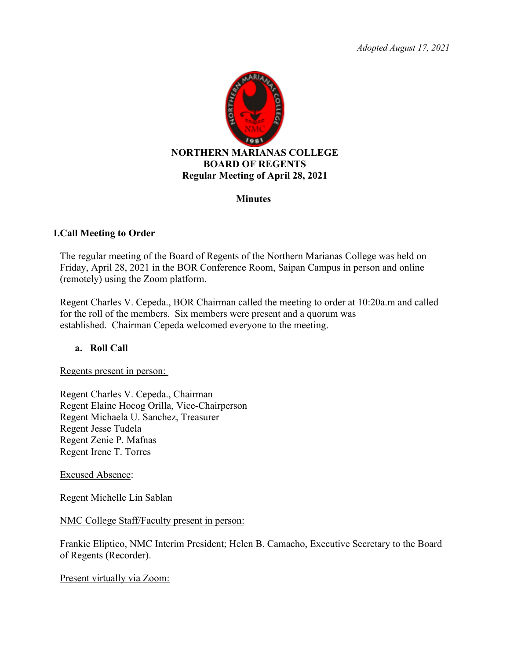*Adopted August 17, 2021*



## **Minutes**

## **I.Call Meeting to Order**

The regular meeting of the Board of Regents of the Northern Marianas College was held on Friday, April 28, 2021 in the BOR Conference Room, Saipan Campus in person and online (remotely) using the Zoom platform.

Regent Charles V. Cepeda., BOR Chairman called the meeting to order at 10:20a.m and called for the roll of the members. Six members were present and a quorum was established. Chairman Cepeda welcomed everyone to the meeting.

## **a. Roll Call**

Regents present in person:

Regent Charles V. Cepeda., Chairman Regent Elaine Hocog Orilla, Vice-Chairperson Regent Michaela U. Sanchez, Treasurer Regent Jesse Tudela Regent Zenie P. Mafnas Regent Irene T. Torres

Excused Absence:

Regent Michelle Lin Sablan

NMC College Staff/Faculty present in person:

Frankie Eliptico, NMC Interim President; Helen B. Camacho, Executive Secretary to the Board of Regents (Recorder).

Present virtually via Zoom: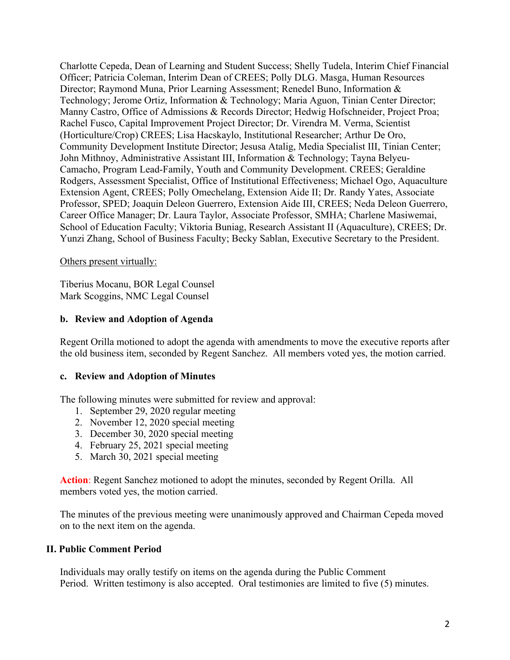Charlotte Cepeda, Dean of Learning and Student Success; Shelly Tudela, Interim Chief Financial Officer; Patricia Coleman, Interim Dean of CREES; Polly DLG. Masga, Human Resources Director; Raymond Muna, Prior Learning Assessment; Renedel Buno, Information & Technology; Jerome Ortiz, Information & Technology; Maria Aguon, Tinian Center Director; Manny Castro, Office of Admissions & Records Director; Hedwig Hofschneider, Project Proa; Rachel Fusco, Capital Improvement Project Director; Dr. Virendra M. Verma, Scientist (Horticulture/Crop) CREES; Lisa Hacskaylo, Institutional Researcher; Arthur De Oro, Community Development Institute Director; Jesusa Atalig, Media Specialist III, Tinian Center; John Mithnoy, Administrative Assistant III, Information & Technology; Tayna Belyeu-Camacho, Program Lead-Family, Youth and Community Development. CREES; Geraldine Rodgers, Assessment Specialist, Office of Institutional Effectiveness; Michael Ogo, Aquaculture Extension Agent, CREES; Polly Omechelang, Extension Aide II; Dr. Randy Yates, Associate Professor, SPED; Joaquin Deleon Guerrero, Extension Aide III, CREES; Neda Deleon Guerrero, Career Office Manager; Dr. Laura Taylor, Associate Professor, SMHA; Charlene Masiwemai, School of Education Faculty; Viktoria Buniag, Research Assistant II (Aquaculture), CREES; Dr. Yunzi Zhang, School of Business Faculty; Becky Sablan, Executive Secretary to the President.

## Others present virtually:

Tiberius Mocanu, BOR Legal Counsel Mark Scoggins, NMC Legal Counsel

## **b. Review and Adoption of Agenda**

Regent Orilla motioned to adopt the agenda with amendments to move the executive reports after the old business item, seconded by Regent Sanchez. All members voted yes, the motion carried.

## **c. Review and Adoption of Minutes**

The following minutes were submitted for review and approval:

- 1. September 29, 2020 regular meeting
- 2. November 12, 2020 special meeting
- 3. December 30, 2020 special meeting
- 4. February 25, 2021 special meeting
- 5. March 30, 2021 special meeting

**Action**: Regent Sanchez motioned to adopt the minutes, seconded by Regent Orilla. All members voted yes, the motion carried.

The minutes of the previous meeting were unanimously approved and Chairman Cepeda moved on to the next item on the agenda.

## **II. Public Comment Period**

Individuals may orally testify on items on the agenda during the Public Comment Period. Written testimony is also accepted. Oral testimonies are limited to five (5) minutes.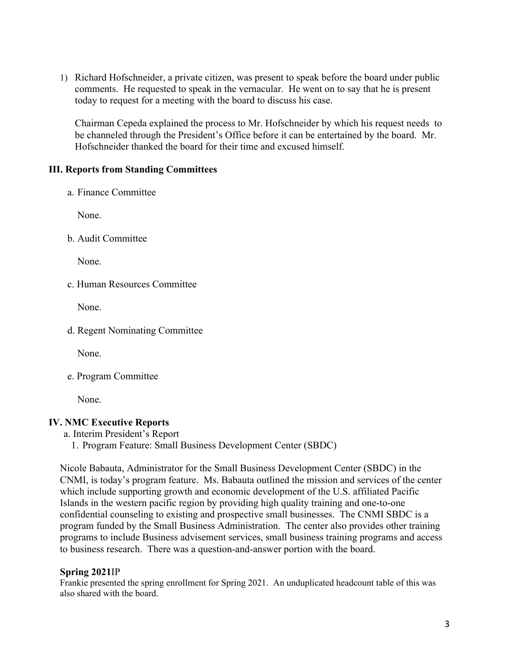1) Richard Hofschneider, a private citizen, was present to speak before the board under public comments. He requested to speak in the vernacular. He went on to say that he is present today to request for a meeting with the board to discuss his case.

Chairman Cepeda explained the process to Mr. Hofschneider by which his request needs to be channeled through the President's Office before it can be entertained by the board. Mr. Hofschneider thanked the board for their time and excused himself.

# **III. Reports from Standing Committees**

a. Finance Committee

None.

b. Audit Committee

None.

c. Human Resources Committee

None.

d. Regent Nominating Committee

None.

e. Program Committee

None.

## **IV. NMC Executive Reports**

- a. Interim President's Report
	- 1. Program Feature: Small Business Development Center (SBDC)

Nicole Babauta, Administrator for the Small Business Development Center (SBDC) in the CNMI, is today's program feature. Ms. Babauta outlined the mission and services of the center which include supporting growth and economic development of the U.S. affiliated Pacific Islands in the western pacific region by providing high quality training and one-to-one confidential counseling to existing and prospective small businesses. The CNMI SBDC is a program funded by the Small Business Administration. The center also provides other training programs to include Business advisement services, small business training programs and access to business research. There was a question-and-answer portion with the board.

## **Spring 2021**IP

Frankie presented the spring enrollment for Spring 2021. An unduplicated headcount table of this was also shared with the board.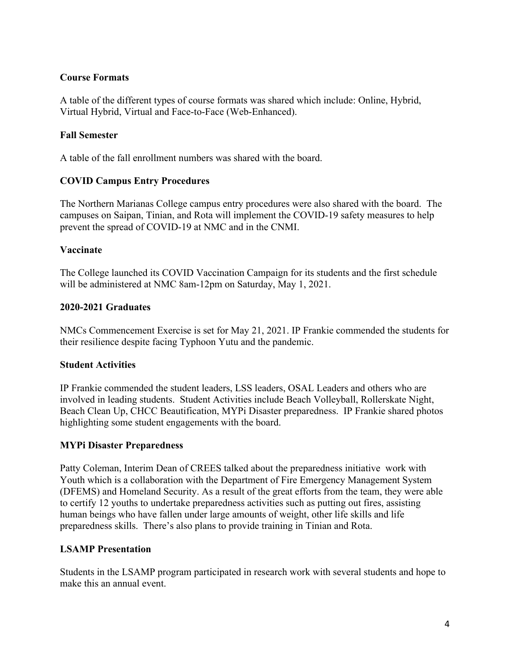## **Course Formats**

A table of the different types of course formats was shared which include: Online, Hybrid, Virtual Hybrid, Virtual and Face-to-Face (Web-Enhanced).

## **Fall Semester**

A table of the fall enrollment numbers was shared with the board.

## **COVID Campus Entry Procedures**

The Northern Marianas College campus entry procedures were also shared with the board. The campuses on Saipan, Tinian, and Rota will implement the COVID-19 safety measures to help prevent the spread of COVID-19 at NMC and in the CNMI.

## **Vaccinate**

The College launched its COVID Vaccination Campaign for its students and the first schedule will be administered at NMC 8am-12pm on Saturday, May 1, 2021.

## **2020-2021 Graduates**

NMCs Commencement Exercise is set for May 21, 2021. IP Frankie commended the students for their resilience despite facing Typhoon Yutu and the pandemic.

## **Student Activities**

IP Frankie commended the student leaders, LSS leaders, OSAL Leaders and others who are involved in leading students. Student Activities include Beach Volleyball, Rollerskate Night, Beach Clean Up, CHCC Beautification, MYPi Disaster preparedness. IP Frankie shared photos highlighting some student engagements with the board.

## **MYPi Disaster Preparedness**

Patty Coleman, Interim Dean of CREES talked about the preparedness initiative work with Youth which is a collaboration with the Department of Fire Emergency Management System (DFEMS) and Homeland Security. As a result of the great efforts from the team, they were able to certify 12 youths to undertake preparedness activities such as putting out fires, assisting human beings who have fallen under large amounts of weight, other life skills and life preparedness skills. There's also plans to provide training in Tinian and Rota.

## **LSAMP Presentation**

Students in the LSAMP program participated in research work with several students and hope to make this an annual event.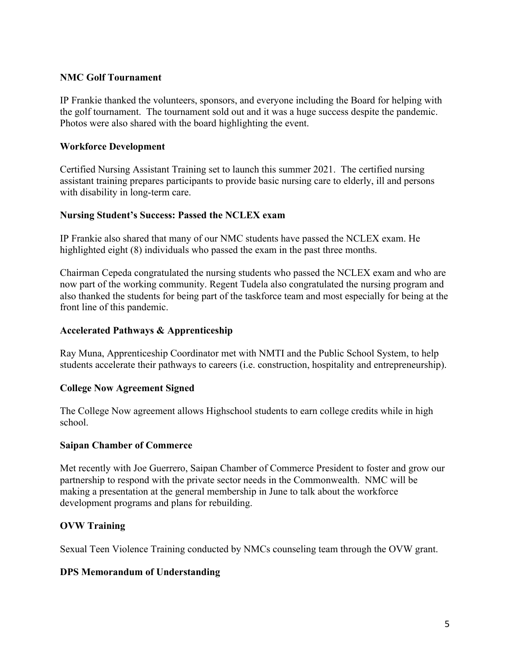## **NMC Golf Tournament**

IP Frankie thanked the volunteers, sponsors, and everyone including the Board for helping with the golf tournament. The tournament sold out and it was a huge success despite the pandemic. Photos were also shared with the board highlighting the event.

## **Workforce Development**

Certified Nursing Assistant Training set to launch this summer 2021. The certified nursing assistant training prepares participants to provide basic nursing care to elderly, ill and persons with disability in long-term care.

## **Nursing Student's Success: Passed the NCLEX exam**

IP Frankie also shared that many of our NMC students have passed the NCLEX exam. He highlighted eight (8) individuals who passed the exam in the past three months.

Chairman Cepeda congratulated the nursing students who passed the NCLEX exam and who are now part of the working community. Regent Tudela also congratulated the nursing program and also thanked the students for being part of the taskforce team and most especially for being at the front line of this pandemic.

## **Accelerated Pathways & Apprenticeship**

Ray Muna, Apprenticeship Coordinator met with NMTI and the Public School System, to help students accelerate their pathways to careers (i.e. construction, hospitality and entrepreneurship).

## **College Now Agreement Signed**

The College Now agreement allows Highschool students to earn college credits while in high school.

## **Saipan Chamber of Commerce**

Met recently with Joe Guerrero, Saipan Chamber of Commerce President to foster and grow our partnership to respond with the private sector needs in the Commonwealth. NMC will be making a presentation at the general membership in June to talk about the workforce development programs and plans for rebuilding.

# **OVW Training**

Sexual Teen Violence Training conducted by NMCs counseling team through the OVW grant.

## **DPS Memorandum of Understanding**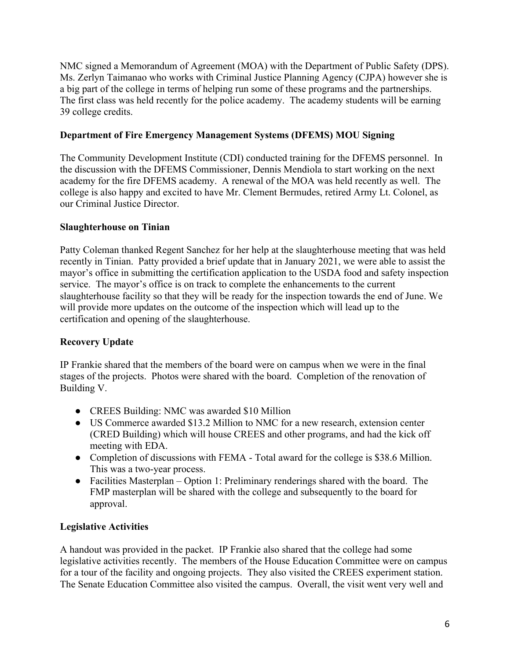NMC signed a Memorandum of Agreement (MOA) with the Department of Public Safety (DPS). Ms. Zerlyn Taimanao who works with Criminal Justice Planning Agency (CJPA) however she is a big part of the college in terms of helping run some of these programs and the partnerships. The first class was held recently for the police academy. The academy students will be earning 39 college credits.

# **Department of Fire Emergency Management Systems (DFEMS) MOU Signing**

The Community Development Institute (CDI) conducted training for the DFEMS personnel. In the discussion with the DFEMS Commissioner, Dennis Mendiola to start working on the next academy for the fire DFEMS academy. A renewal of the MOA was held recently as well. The college is also happy and excited to have Mr. Clement Bermudes, retired Army Lt. Colonel, as our Criminal Justice Director.

# **Slaughterhouse on Tinian**

Patty Coleman thanked Regent Sanchez for her help at the slaughterhouse meeting that was held recently in Tinian. Patty provided a brief update that in January 2021, we were able to assist the mayor's office in submitting the certification application to the USDA food and safety inspection service. The mayor's office is on track to complete the enhancements to the current slaughterhouse facility so that they will be ready for the inspection towards the end of June. We will provide more updates on the outcome of the inspection which will lead up to the certification and opening of the slaughterhouse.

# **Recovery Update**

IP Frankie shared that the members of the board were on campus when we were in the final stages of the projects. Photos were shared with the board. Completion of the renovation of Building V.

- CREES Building: NMC was awarded \$10 Million
- US Commerce awarded \$13.2 Million to NMC for a new research, extension center (CRED Building) which will house CREES and other programs, and had the kick off meeting with EDA.
- Completion of discussions with FEMA Total award for the college is \$38.6 Million. This was a two-year process.
- Facilities Masterplan Option 1: Preliminary renderings shared with the board. The FMP masterplan will be shared with the college and subsequently to the board for approval.

# **Legislative Activities**

A handout was provided in the packet. IP Frankie also shared that the college had some legislative activities recently. The members of the House Education Committee were on campus for a tour of the facility and ongoing projects. They also visited the CREES experiment station. The Senate Education Committee also visited the campus. Overall, the visit went very well and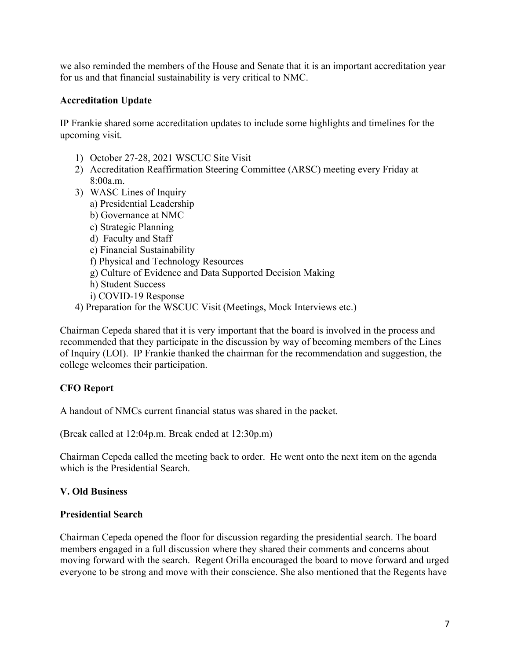we also reminded the members of the House and Senate that it is an important accreditation year for us and that financial sustainability is very critical to NMC.

# **Accreditation Update**

IP Frankie shared some accreditation updates to include some highlights and timelines for the upcoming visit.

- 1) October 27-28, 2021 WSCUC Site Visit
- 2) Accreditation Reaffirmation Steering Committee (ARSC) meeting every Friday at 8:00a.m.
- 3) WASC Lines of Inquiry
	- a) Presidential Leadership
	- b) Governance at NMC
	- c) Strategic Planning
	- d) Faculty and Staff
	- e) Financial Sustainability
	- f) Physical and Technology Resources
	- g) Culture of Evidence and Data Supported Decision Making
	- h) Student Success
	- i) COVID-19 Response
- 4) Preparation for the WSCUC Visit (Meetings, Mock Interviews etc.)

Chairman Cepeda shared that it is very important that the board is involved in the process and recommended that they participate in the discussion by way of becoming members of the Lines of Inquiry (LOI). IP Frankie thanked the chairman for the recommendation and suggestion, the college welcomes their participation.

# **CFO Report**

A handout of NMCs current financial status was shared in the packet.

(Break called at 12:04p.m. Break ended at 12:30p.m)

Chairman Cepeda called the meeting back to order. He went onto the next item on the agenda which is the Presidential Search.

# **V. Old Business**

## **Presidential Search**

Chairman Cepeda opened the floor for discussion regarding the presidential search. The board members engaged in a full discussion where they shared their comments and concerns about moving forward with the search. Regent Orilla encouraged the board to move forward and urged everyone to be strong and move with their conscience. She also mentioned that the Regents have